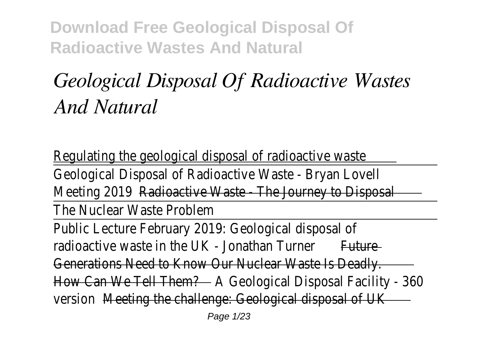# *Geological Disposal Of Radioactive Wastes And Natural*

Regulating the geological disposal of radioactive waste Geological Disposal of Radioactive Waste - Bryan Lovell Meeting 201<del>Radioactive Waste - The Journey to Dispo</del>sal The Nuclear Waste Problem Public Lecture February 2019: Geological disposal of radioactive waste in the UK - Jonathan Turner Future Generations Need to Know Our Nuclear Waste Is Deadly. How Can We Tell Them?A Geological Disposal Facility - 360 versionMeeting the challenge: Geological disposal of UK Page 1/23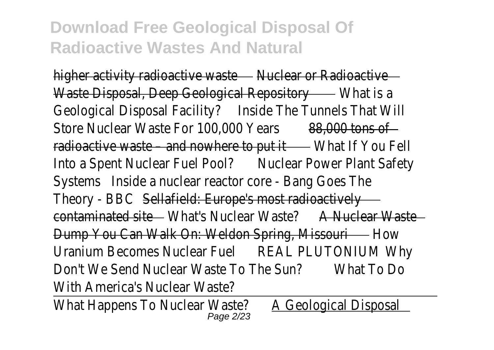higher activity radioactive was nellear or Radioactive Waste Disposal, Deep Geological Repositor What is a Geological Disposal Facility?Inside The Tunnels That Will Store Nuclear Waste For 100,000 Years 8,000 tons of radioactive waste – and nowhere to pull hat If You Fell Into a Spent Nuclear Fuel PoolNuclear Power Plant Safety SystemsInside a nuclear reactor core - Bang Goes The Theory - BBC Sellafield: Europe's most radioactively contaminated site What's Nuclear Waste A Nuclear Waste Dump You Can Walk On: Weldon Spring, Missoultiow Uranium Becomes Nuclear FueREAL PLUTONIUM Why Don't We Send Nuclear Waste To The Sun?What To Do With America's Nuclear Waste?

What Happens To Nuclear Waster Geological Disposal Page 2/23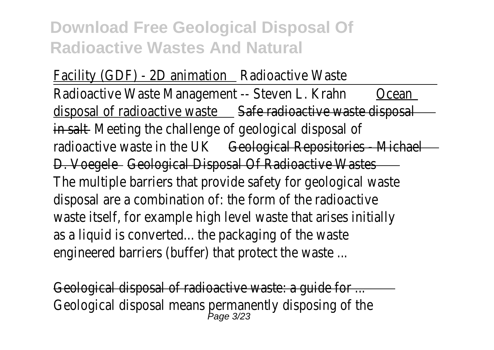Facility (GDF) - 2D animatioRadioactive Waste Radioactive Waste Management -- Steven L. Kraducean disposal of radioactive was **Safe radioactive waste disposal** in saltMeeting the challenge of geological disposal of radioactive waste in the UK eological Repositories - Michael D. Voegele Geological Disposal Of Radioactive Wastes The multiple barriers that provide safety for geological waste disposal are a combination of: the form of the radioactive waste itself, for example high level waste that arises initially as a liquid is converted... the packaging of the waste engineered barriers (buffer) that protect the waste ...

Geological disposal of radioactive waste: a guide for ... Geological disposal means permanently disposing of the  $P_{\text{age}}$  3/23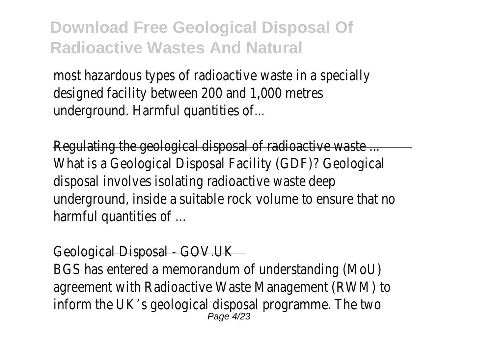most hazardous types of radioactive waste in a specially designed facility between 200 and 1,000 metres underground. Harmful quantities of...

Regulating the geological disposal of radioactive waste ... What is a Geological Disposal Facility (GDF)? Geological disposal involves isolating radioactive waste deep underground, inside a suitable rock volume to ensure that no harmful quantities of ...

#### Geological Disposal - GOV.UK

BGS has entered a memorandum of understanding (MoU) agreement with Radioactive Waste Management (RWM) to inform the UK's geological disposal programme. The two Page 4/23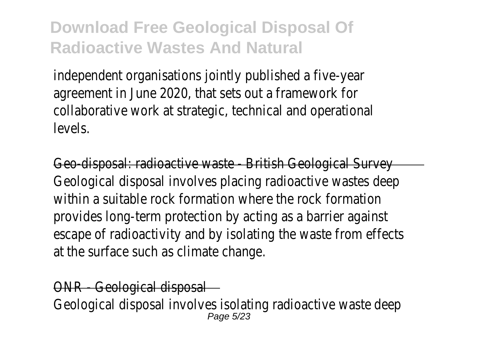independent organisations jointly published a five-year agreement in June 2020, that sets out a framework for collaborative work at strategic, technical and operational levels.

Geo-disposal: radioactive waste - British Geological Survey Geological disposal involves placing radioactive wastes deep within a suitable rock formation where the rock formation provides long-term protection by acting as a barrier against escape of radioactivity and by isolating the waste from effects at the surface such as climate change.

#### - Geological disposal

Geological disposal involves isolating radioactive waste deep Page 5/23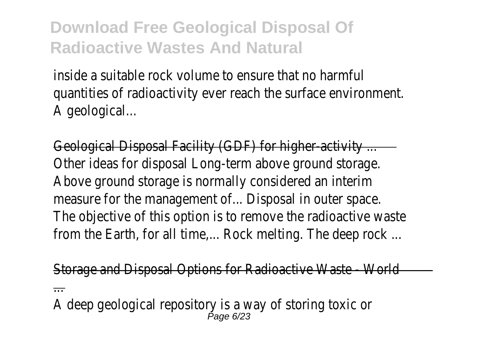inside a suitable rock volume to ensure that no harmful quantities of radioactivity ever reach the surface environment. A geological...

Geological Disposal Facility (GDF) for higher-activity ... Other ideas for disposal Long-term above ground storage. Above ground storage is normally considered an interim measure for the management of... Disposal in outer space. The objective of this option is to remove the radioactive waste from the Earth, for all time.... Rock melting. The deep rock ...

Storage and Disposal Options for Radioactive Waste - World

...

A deep geological repository is a way of storing toxic or Page 6/23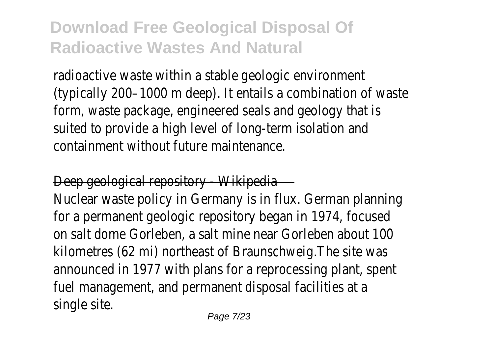radioactive waste within a stable geologic environment (typically 200–1000 m deep). It entails a combination of waste form, waste package, engineered seals and geology that is suited to provide a high level of long-term isolation and containment without future maintenance.

#### Deep geological repository - Wikipedia

Nuclear waste policy in Germany is in flux. German planning for a permanent geologic repository began in 1974, focused on salt dome Gorleben, a salt mine near Gorleben about 100 kilometres (62 mi) northeast of Braunschweig.The site was announced in 1977 with plans for a reprocessing plant, spent fuel management, and permanent disposal facilities at a single site.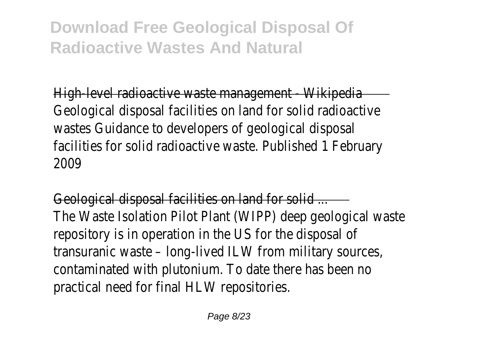High-level radioactive waste management - Wikipedia Geological disposal facilities on land for solid radioactive wastes Guidance to developers of geological disposal facilities for solid radioactive waste. Published 1 February 2009

Geological disposal facilities on land for solid ... The Waste Isolation Pilot Plant (WIPP) deep geological waste repository is in operation in the US for the disposal of transuranic waste – long-lived ILW from military sources, contaminated with plutonium. To date there has been no practical need for final HLW repositories.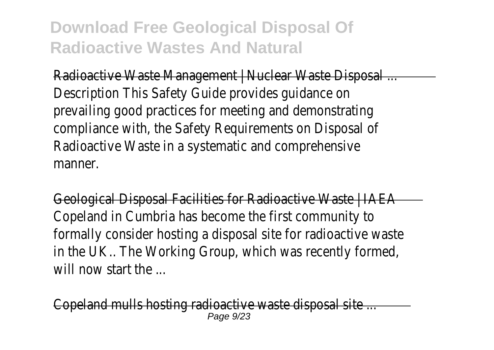Radioactive Waste Management | Nuclear Waste Disposal ... Description This Safety Guide provides guidance on prevailing good practices for meeting and demonstrating compliance with, the Safety Requirements on Disposal of Radioactive Waste in a systematic and comprehensive manner.

Geological Disposal Facilities for Radioactive Waste | IAEA Copeland in Cumbria has become the first community to formally consider hosting a disposal site for radioactive waste in the UK.. The Working Group, which was recently formed, will now start the

nd mulls hosting radioactive waste disposal site ...  $P$ age  $Q$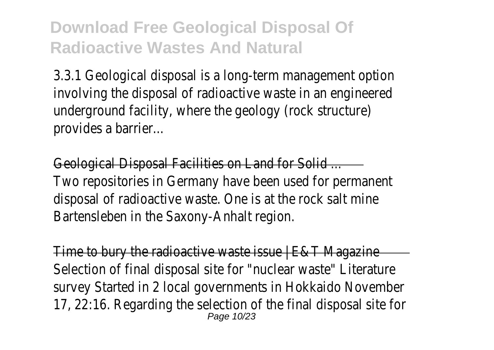3.3.1 Geological disposal is a long-term management option involving the disposal of radioactive waste in an engineered underground facility, where the geology (rock structure) provides a barrier...

Geological Disposal Facilities on Land for Solid ... Two repositories in Germany have been used for permanent disposal of radioactive waste. One is at the rock salt mine Bartensleben in the Saxony-Anhalt region.

Time to bury the radioactive waste issue | E&T Magazine Selection of final disposal site for "nuclear waste" Literature survey Started in 2 local governments in Hokkaido November 17, 22:16. Regarding the selection of the final disposal site for Page 10/23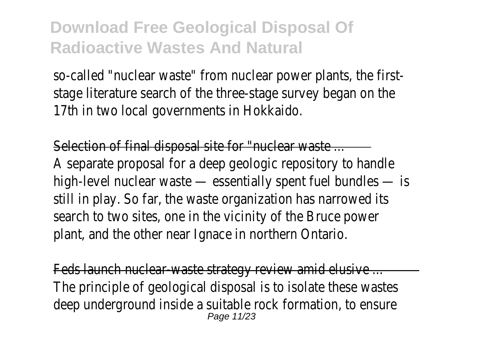so-called "nuclear waste" from nuclear power plants, the firststage literature search of the three-stage survey began on the 17th in two local governments in Hokkaido.

Selection of final disposal site for "nuclear waste ... A separate proposal for a deep geologic repository to handle high-level nuclear waste — essentially spent fuel bundles — is still in play. So far, the waste organization has narrowed its search to two sites, one in the vicinity of the Bruce power plant, and the other near Ignace in northern Ontario.

Feds launch nuclear-waste strategy review amid elusive ... The principle of geological disposal is to isolate these wastes deep underground inside a suitable rock formation, to ensure Page 11/23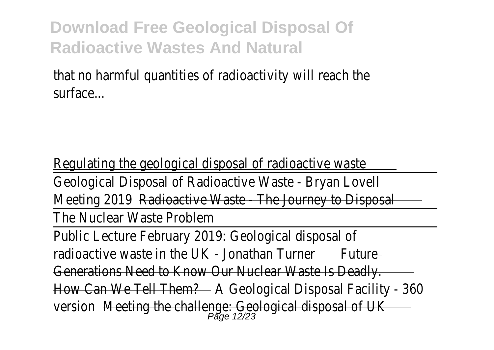that no harmful quantities of radioactivity will reach the surface...

Regulating the geological disposal of radioactive waste Geological Disposal of Radioactive Waste - Bryan Lovell Meeting 201<del>Radioactive Waste The Journey to Dispo</del>sal The Nuclear Waste Problem Public Lecture February 2019: Geological disposal of radioactive waste in the UK - Jonathan Turneture Generations Need to Know Our Nuclear Waste Is Deadly. How Can We Tell Them?A Geological Disposal Facility - 360 version <del>Meeting the challenge: Geological disposal of </del>UK<br>Page 12/23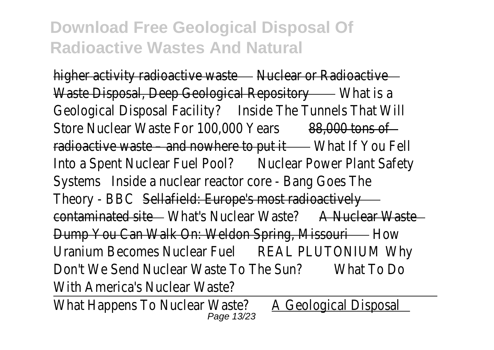higher activity radioactive was nellear or Radioactive Waste Disposal, Deep Geological Repositor What is a Geological Disposal Facility?Inside The Tunnels That Will Store Nuclear Waste For 100,000 Years 8,000 tons of radioactive waste – and nowhere to pull hat If You Fell Into a Spent Nuclear Fuel PoolNuclear Power Plant Safety SystemsInside a nuclear reactor core - Bang Goes The Theory - BBC Sellafield: Europe's most radioactively contaminated site What's Nuclear Waste A Nuclear Waste Dump You Can Walk On: Weldon Spring, Missoultiow Uranium Becomes Nuclear FueREAL PLUTONIUM Why Don't We Send Nuclear Waste To The Sun?What To Do With America's Nuclear Waste?

What Happens To Nuclear Waster Geological Disposal Page 13/23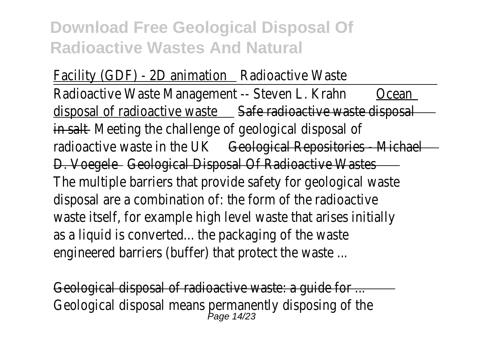Facility (GDF) - 2D animatioRadioactive Waste Radioactive Waste Management -- Steven L. Kraducean disposal of radioactive was **Safe radioactive waste disposal** in saltMeeting the challenge of geological disposal of radioactive waste in the UK eological Repositories - Michael D. Voegele Geological Disposal Of Radioactive Wastes The multiple barriers that provide safety for geological waste disposal are a combination of: the form of the radioactive waste itself, for example high level waste that arises initially as a liquid is converted... the packaging of the waste engineered barriers (buffer) that protect the waste ...

Geological disposal of radioactive waste: a guide for ... Geological disposal means permanently disposing of the  $P_{\text{age 14/23}}$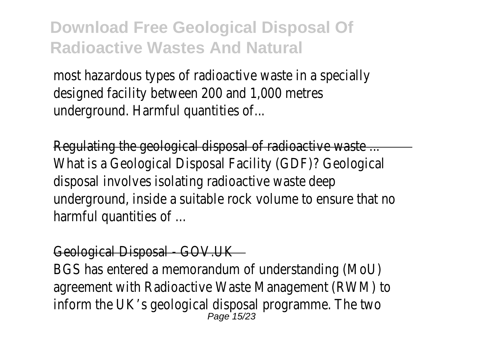most hazardous types of radioactive waste in a specially designed facility between 200 and 1,000 metres underground. Harmful quantities of...

Regulating the geological disposal of radioactive waste ... What is a Geological Disposal Facility (GDF)? Geological disposal involves isolating radioactive waste deep underground, inside a suitable rock volume to ensure that no harmful quantities of ...

#### Geological Disposal - GOV.UK

BGS has entered a memorandum of understanding (MoU) agreement with Radioactive Waste Management (RWM) to inform the UK's geological disposal programme. The two Page 15/23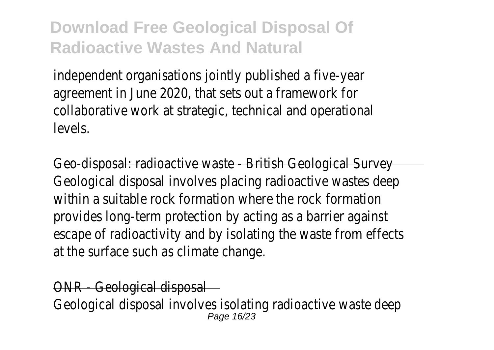independent organisations jointly published a five-year agreement in June 2020, that sets out a framework for collaborative work at strategic, technical and operational levels.

Geo-disposal: radioactive waste - British Geological Survey Geological disposal involves placing radioactive wastes deep within a suitable rock formation where the rock formation provides long-term protection by acting as a barrier against escape of radioactivity and by isolating the waste from effects at the surface such as climate change.

#### - Geological disposal

Geological disposal involves isolating radioactive waste deep Page 16/23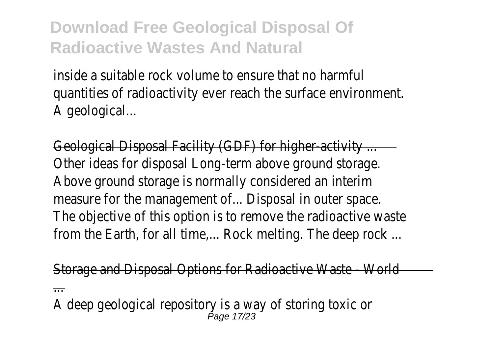inside a suitable rock volume to ensure that no harmful quantities of radioactivity ever reach the surface environment. A geological...

Geological Disposal Facility (GDF) for higher-activity ... Other ideas for disposal Long-term above ground storage. Above ground storage is normally considered an interim measure for the management of... Disposal in outer space. The objective of this option is to remove the radioactive waste from the Earth, for all time.... Rock melting. The deep rock ...

Storage and Disposal Options for Radioactive Waste - World

...

A deep geological repository is a way of storing toxic or Page 17/23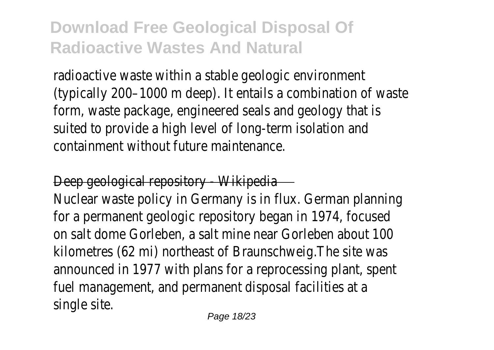radioactive waste within a stable geologic environment (typically 200–1000 m deep). It entails a combination of waste form, waste package, engineered seals and geology that is suited to provide a high level of long-term isolation and containment without future maintenance.

#### Deep geological repository - Wikipedia

Nuclear waste policy in Germany is in flux. German planning for a permanent geologic repository began in 1974, focused on salt dome Gorleben, a salt mine near Gorleben about 100 kilometres (62 mi) northeast of Braunschweig.The site was announced in 1977 with plans for a reprocessing plant, spent fuel management, and permanent disposal facilities at a single site.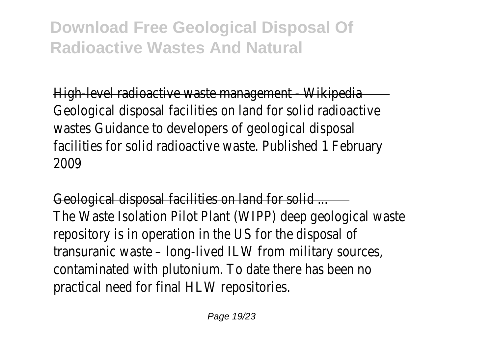High-level radioactive waste management - Wikipedia Geological disposal facilities on land for solid radioactive wastes Guidance to developers of geological disposal facilities for solid radioactive waste. Published 1 February 2009

Geological disposal facilities on land for solid ... The Waste Isolation Pilot Plant (WIPP) deep geological waste repository is in operation in the US for the disposal of transuranic waste – long-lived ILW from military sources, contaminated with plutonium. To date there has been no practical need for final HLW repositories.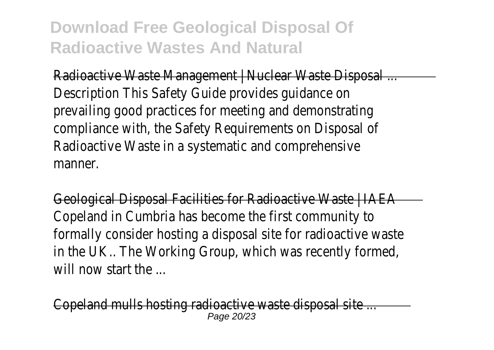Radioactive Waste Management | Nuclear Waste Disposal ... Description This Safety Guide provides guidance on prevailing good practices for meeting and demonstrating compliance with, the Safety Requirements on Disposal of Radioactive Waste in a systematic and comprehensive manner.

Geological Disposal Facilities for Radioactive Waste | IAEA Copeland in Cumbria has become the first community to formally consider hosting a disposal site for radioactive waste in the UK.. The Working Group, which was recently formed, will now start the

nd mulls hosting radioactive waste disposal site ... Page 20/23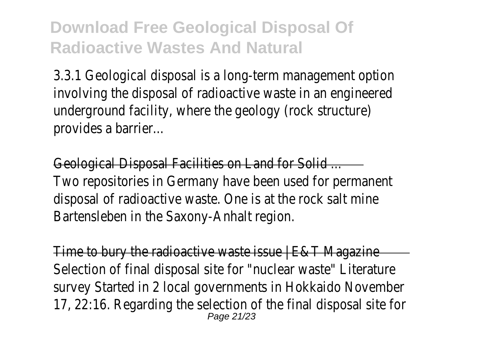3.3.1 Geological disposal is a long-term management option involving the disposal of radioactive waste in an engineered underground facility, where the geology (rock structure) provides a barrier...

Geological Disposal Facilities on Land for Solid ... Two repositories in Germany have been used for permanent disposal of radioactive waste. One is at the rock salt mine Bartensleben in the Saxony-Anhalt region.

Time to bury the radioactive waste issue | E&T Magazine Selection of final disposal site for "nuclear waste" Literature survey Started in 2 local governments in Hokkaido November 17, 22:16. Regarding the selection of the final disposal site for Page 21/23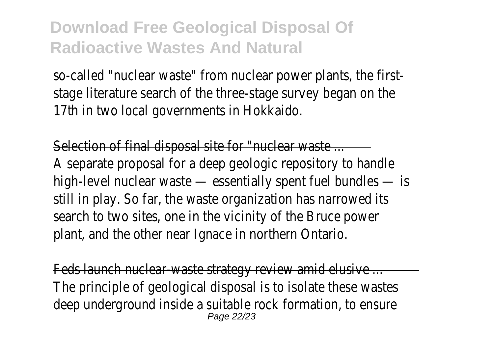so-called "nuclear waste" from nuclear power plants, the firststage literature search of the three-stage survey began on the 17th in two local governments in Hokkaido.

Selection of final disposal site for "nuclear waste ... A separate proposal for a deep geologic repository to handle high-level nuclear waste — essentially spent fuel bundles — is still in play. So far, the waste organization has narrowed its search to two sites, one in the vicinity of the Bruce power plant, and the other near Ignace in northern Ontario.

Feds launch nuclear-waste strategy review amid elusive ... The principle of geological disposal is to isolate these wastes deep underground inside a suitable rock formation, to ensure Page 22/23